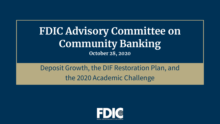# **FDIC Advisory Committee on Community Banking October 28, 2020**

# Deposit Growth, the DIF Restoration Plan, and the 2020 Academic Challenge

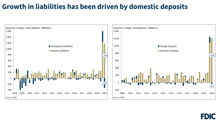#### **Growth in liabilities has been driven by domestic deposits**

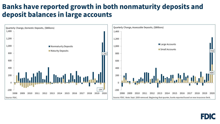#### **Banks have reported growth in both nonmaturity deposits and deposit balances in large accounts**



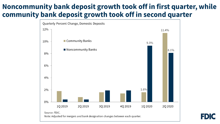### **community bank deposit growth took off in second quarter Noncommunity bank deposit growth took off in first quarter, while**

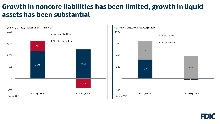# **assets has been substantial Growth in noncore liabilities has been limited, growth in liquid**



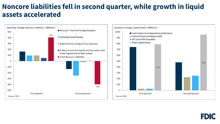#### **Noncore liabilities fell in second quarter, while growth in liquid assets accelerated**



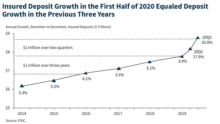#### **Insured Deposit Growth in the First Half of 2020 Equaled Deposit Growth in the Previous Three Years**



Annual Growth, December to December, Insured Deposits (\$ Trillions)

Source: FDIC.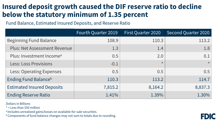# **Insured deposit growth caused the DIF reserve ratio to decline below the statutory minimum of 1.35 percent**

Fund Balance, Estimated Insured Deposits, and Reserve Ratio

|                                      | Fourth Quarter 2019 | First Quarter 2020 | <b>Second Quarter 2020</b> |
|--------------------------------------|---------------------|--------------------|----------------------------|
| <b>Beginning Fund Balance</b>        | 108.9               | 110.3              | 113.2                      |
| <b>Plus: Net Assessment Revenue</b>  | 1.3                 | 1.4                | 1.8                        |
| Plus: Investment Income <sup>a</sup> | 0.5                 | 2.0                | 0.1                        |
| <b>Less: Loss Provisions</b>         | $-0.1$              | $\star$            |                            |
| <b>Less: Operating Expenses</b>      | 0.5                 | 0.5                | 0.5                        |
| Ending Fund Balance <sup>b</sup>     | 110.3               | 113.2              | 114.7                      |
| <b>Estimated Insured Deposits</b>    | 7,815.2             | 8,164.2            | 8,837.3                    |
| <b>Ending Reserve Ratio</b>          | 1.41%               | 1.39%              | 1.30%                      |

Dollars in Billions

\* = Less than \$50 million

a Includes unrealized gains/losses on available-for-sale securities.

**b Components of fund balance changes may not sum to totals due to rounding.**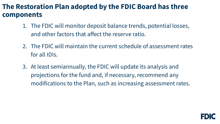# **components The Restoration Plan adopted by the FDIC Board has three**

- 1. The FDIC will monitor deposit balance trends, potential losses, and other factors that affect the reserve ratio.
- 2. The FDIC will maintain the current schedule of assessment rates for all IDIs.
- 3. At least semiannually, the FDIC will update its analysis and projections for the fund and, if necessary, recommend any modifications to the Plan, such as increasing assessment rates.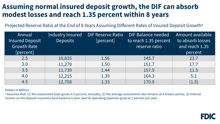# **Assuming normal insured deposit growth, the DIF can absorb modest losses and reach 1.35 percent within 8 years**

Projected Reserve Ratio at the End of 8 Years Assuming Different Rates of Insured Deposit Growth<sup>a</sup>

| Annual<br><b>Insured Deposit</b> | Industry Insured<br><b>Deposits</b> | <b>DIF Reserve Ratio</b><br>[percent] | DIF Balance needed<br>to reach 1.35 percent | Amount available<br>to absorb losses |
|----------------------------------|-------------------------------------|---------------------------------------|---------------------------------------------|--------------------------------------|
| <b>Growth Rate</b>               |                                     |                                       | reserve ratio                               | and reach 1.35                       |
| [percent]                        |                                     |                                       |                                             | percent                              |
| 2.5                              | 10,835                              | 1.56                                  | 145.7                                       | 23.7                                 |
| 3.0                              | 11,279                              | 1.50                                  | 151.7                                       | 17.7                                 |
| 3.5                              | 11,739                              | 1.44                                  | 157.9                                       | 11.5                                 |
| 4.0                              | 12,215                              | 1.39                                  | 164.3                                       | 5.1                                  |
| 4.5                              | 12,708                              | 1.33                                  | 170.9                                       | (1.5)                                |

Dollars in Billions

a Assumes that: (1) the assessment base grows 4.5 percent, annually; (2) the average assessment rate remains at 4.0 basis points; (3) interest income on the deposit insurance fund balance is zero; and (4) operating expenses grow at 1 percent per year.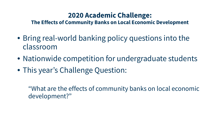# **2020 Academic Challenge:**

 **The Effects of Community Banks on Local Economic Development** 

- Bring real-world banking policy questions into the classroom
- Nationwide competition for undergraduate students
- This year's Challenge Question:

"What are the effects of community banks on local economic development?"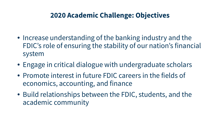# **2020 Academic Challenge: Objectives**

- i<br>I • Increase understanding of the banking industry and the FDIC's role of ensuring the stability of our nation's financial system
- Engage in critical dialogue with undergraduate scholars
- Promote interest in future FDIC careers in the fields of economics, accounting, and finance
- Build relationships between the FDIC, students, and the academic community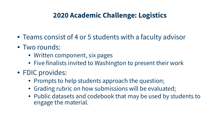# **2020 Academic Challenge: Logistics**

- Teams consist of 4 or 5 students with a faculty advisor
- Two rounds:
	- Written component, six pages
	- Five finalists invited to Washington to present their work
- FDIC provides:
	- Prompts to help students approach the question;
	- Grading rubric on how submissions will be evaluated;
	- • Public datasets and codebook that may be used by students to engage the material.